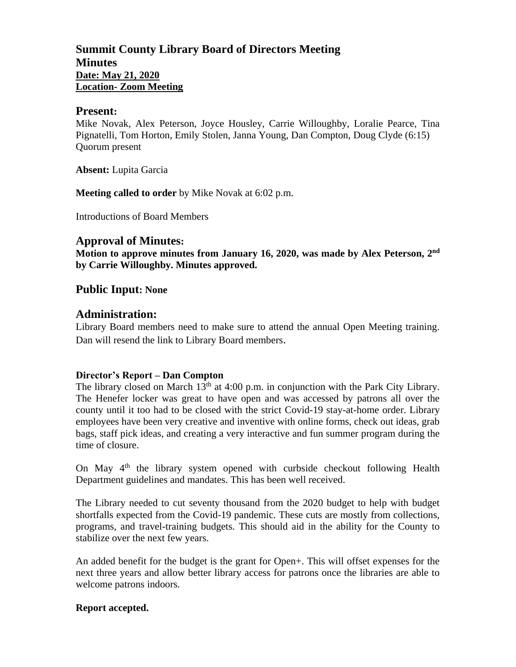# **Summit County Library Board of Directors Meeting Minutes Date: May 21, 2020 Location- Zoom Meeting**

#### **Present:**

Mike Novak, Alex Peterson, Joyce Housley, Carrie Willoughby, Loralie Pearce, Tina Pignatelli, Tom Horton, Emily Stolen, Janna Young, Dan Compton, Doug Clyde (6:15) Quorum present

**Absent:** Lupita Garcia

**Meeting called to order** by Mike Novak at 6:02 p.m.

Introductions of Board Members

## **Approval of Minutes:**

**Motion to approve minutes from January 16, 2020, was made by Alex Peterson, 2 nd by Carrie Willoughby. Minutes approved.** 

## **Public Input: None**

## **Administration:**

Library Board members need to make sure to attend the annual Open Meeting training. Dan will resend the link to Library Board members.

#### **Director's Report – Dan Compton**

The library closed on March  $13<sup>th</sup>$  at 4:00 p.m. in conjunction with the Park City Library. The Henefer locker was great to have open and was accessed by patrons all over the county until it too had to be closed with the strict Covid-19 stay-at-home order. Library employees have been very creative and inventive with online forms, check out ideas, grab bags, staff pick ideas, and creating a very interactive and fun summer program during the time of closure.

On May  $4<sup>th</sup>$  the library system opened with curbside checkout following Health Department guidelines and mandates. This has been well received.

The Library needed to cut seventy thousand from the 2020 budget to help with budget shortfalls expected from the Covid-19 pandemic. These cuts are mostly from collections, programs, and travel-training budgets. This should aid in the ability for the County to stabilize over the next few years.

An added benefit for the budget is the grant for Open+. This will offset expenses for the next three years and allow better library access for patrons once the libraries are able to welcome patrons indoors.

#### **Report accepted.**